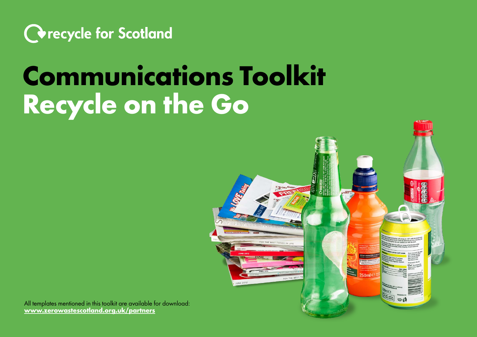

## **Communications Toolkit Recycle on the Go**



All templates mentioned in this toolkit are available for download: **www.zerowastescotland.org.uk/partners**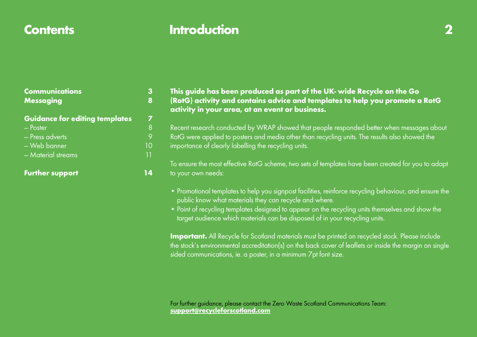## **Contents Introduction 2**

| . .<br>۹<br>×<br>ł<br>c<br>×<br>__ |
|------------------------------------|
|                                    |

| <b>Communications</b><br><b>Messaging</b> |    |
|-------------------------------------------|----|
| <b>Guidance for editing templates</b>     | 7  |
| $-$ Poster                                | 8  |
| - Press adverts                           | 9  |
| - Web banner                              | 10 |
| - Material streams                        | 11 |
| <b>Further support</b>                    |    |

#### **This guide has been produced as part of the UK- wide Recycle on the Go (RotG) activity and contains advice and templates to help you promote a RotG activity in your area, at an event or business.**

Recent research conducted by WRAP showed that people responded better when messages about RotG were applied to posters and media other than recycling units. The results also showed the importance of clearly labelling the recycling units.

To ensure the most effective RotG scheme, two sets of templates have been created for you to adapt to your own needs:

- Promotional templates to help you signpost facilities, reinforce recycling behaviour, and ensure the public know what materials they can recycle and where.
- Point of recycling templates designed to appear on the recycling units themselves and show the target audience which materials can be disposed of in your recycling units.

**Important.** All Recycle for Scotland materials must be printed on recycled stock. Please include the stock's environmental accreditation(s) on the back cover of leaflets or inside the margin on single sided communications, ie. a poster, in a minimum 7pt font size.

For further guidance, please contact the Zero Waste Scotland Communications Team: **support@recycleforscotland.com**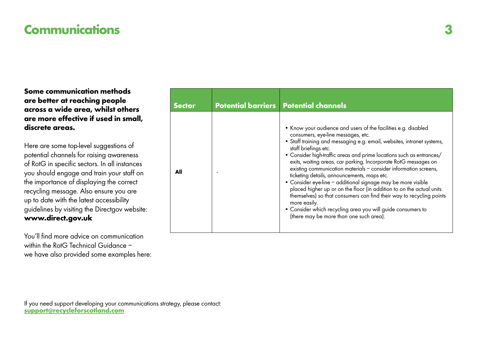## **Communications 3**

**Some communication methods are better at reaching people across a wide area, whilst others are more effective if used in small, discrete areas.**

Here are some top-level suggestions of potential channels for raising awareness of RotG in specific sectors. In all instances you should engage and train your staff on the importance of displaying the correct recycling message. Also ensure you are up to date with the latest accessibility guidelines by visiting the Directgov website: **www.direct.gov.uk**

You'll find more advice on communication within the RotG Technical Guidance – we have also provided some examples here:

| <b>Sector</b> | <b>Potential barriers   Potential channels</b>                                                                                                                                                                                                                                                                                                                                                                                                                                                                                                                                                                                                                                                                                                                                                                 |
|---------------|----------------------------------------------------------------------------------------------------------------------------------------------------------------------------------------------------------------------------------------------------------------------------------------------------------------------------------------------------------------------------------------------------------------------------------------------------------------------------------------------------------------------------------------------------------------------------------------------------------------------------------------------------------------------------------------------------------------------------------------------------------------------------------------------------------------|
| All           | • Know your audience and users of the facilities e.g. disabled<br>consumers, eye-line messages, etc.<br>· Staff training and messaging e.g. email, websites, intranet systems,<br>staff briefings etc.<br>• Consider high-traffic areas and prime locations such as entrances/<br>exits, waiting areas, car parking. Incorporate RotG messages on<br>existing communication materials - consider information screens,<br>ticketing details, announcements, maps etc.<br>• Consider eye-line - additional signage may be more visible<br>placed higher up or on the floor (in addition to on the actual units<br>themselves) so that consumers can find their way to recycling points<br>more easily.<br>• Consider which recycling area you will guide consumers to<br>(there may be more than one such area). |

If you need support developing your communications strategy, please contact: **support@recycleforscotland.com**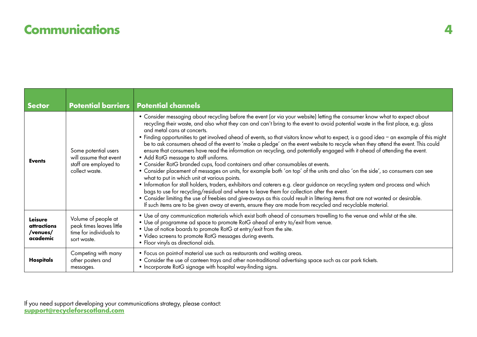## **Communications 4**

| <b>Sector</b>                                  |                                                                                           | <b>Potential barriers   Potential channels</b>                                                                                                                                                                                                                                                                                                                                                                                                                                                                                                                                                                                                                                                                                                                                                                                                                                                                                                                                                                                                                                                                                                                                                                                                                                                                                                                                                                                                                                                                |  |
|------------------------------------------------|-------------------------------------------------------------------------------------------|---------------------------------------------------------------------------------------------------------------------------------------------------------------------------------------------------------------------------------------------------------------------------------------------------------------------------------------------------------------------------------------------------------------------------------------------------------------------------------------------------------------------------------------------------------------------------------------------------------------------------------------------------------------------------------------------------------------------------------------------------------------------------------------------------------------------------------------------------------------------------------------------------------------------------------------------------------------------------------------------------------------------------------------------------------------------------------------------------------------------------------------------------------------------------------------------------------------------------------------------------------------------------------------------------------------------------------------------------------------------------------------------------------------------------------------------------------------------------------------------------------------|--|
| <b>Events</b>                                  | Some potential users<br>will assume that event<br>staff are employed to<br>collect waste. | . Consider messaging about recycling before the event (or via your website) letting the consumer know what to expect about<br>recycling their waste, and also what they can and can't bring to the event to avoid potential waste in the first place, e.g. glass<br>and metal cans at concerts.<br>• Finding opportunities to get involved ahead of events, so that visitors know what to expect, is a good idea – an example of this might<br>be to ask consumers ahead of the event to 'make a pledge' on the event website to recycle when they attend the event. This could<br>ensure that consumers have read the information on recycling, and potentially engaged with it ahead of attending the event.<br>• Add RotG message to staff uniforms.<br>• Consider RotG branded cups, food containers and other consumables at events.<br>• Consider placement of messages on units, for example both 'on top' of the units and also 'on the side', so consumers can see<br>what to put in which unit at various points.<br>• Information for stall holders, traders, exhibitors and caterers e.g. clear guidance on recycling system and process and which<br>bags to use for recycling/residual and where to leave them for collection after the event.<br>. Consider limiting the use of freebies and give-aways as this could result in littering items that are not wanted or desirable.<br>If such items are to be given away at events, ensure they are made from recycled and recyclable material. |  |
| Leisure<br>attractions<br>/venues/<br>academic | Volume of people at<br>peak times leaves little<br>time for individuals to<br>sort waste. | . Use of any communication materials which exist both ahead of consumers travelling to the venue and whilst at the site.<br>. Use of programme ad space to promote RotG ahead of entry to/exit from venue.<br>• Use of notice boards to promote RotG at entry/exit from the site.<br>• Video screens to promote RotG messages during events.<br>• Floor vinyls as directional aids.                                                                                                                                                                                                                                                                                                                                                                                                                                                                                                                                                                                                                                                                                                                                                                                                                                                                                                                                                                                                                                                                                                                           |  |
| Hospitals                                      | Competing with many<br>other posters and<br>messages.                                     | • Focus on point-of material use such as restaurants and waiting areas.<br>• Consider the use of canteen trays and other non-traditional advertising space such as car park tickets.<br>• Incorporate RotG signage with hospital way-finding signs.                                                                                                                                                                                                                                                                                                                                                                                                                                                                                                                                                                                                                                                                                                                                                                                                                                                                                                                                                                                                                                                                                                                                                                                                                                                           |  |

If you need support developing your communications strategy, please contact: **support@recycleforscotland.com**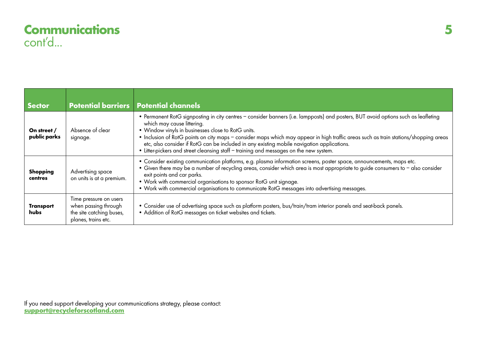## **Communications** cont'd...

| <b>Sector</b>                   |                                                                                                   | <b>Potential barriers Potential channels</b>                                                                                                                                                                                                                                                                                                                                                                                                                                                                                                           |
|---------------------------------|---------------------------------------------------------------------------------------------------|--------------------------------------------------------------------------------------------------------------------------------------------------------------------------------------------------------------------------------------------------------------------------------------------------------------------------------------------------------------------------------------------------------------------------------------------------------------------------------------------------------------------------------------------------------|
| On street /<br>public parks     | Absence of clear<br>signage.                                                                      | • Permanent RotG signposting in city centres - consider banners (i.e. lampposts) and posters, BUT avoid options such as leafleting<br>which may cause littering.<br>• Window vinyls in businesses close to RotG units.<br>• Inclusion of RotG points on city maps - consider maps which may appear in high traffic areas such as train stations/shopping areas<br>etc, also consider if RotG can be included in any existing mobile navigation applications.<br>• Litter-pickers and street cleansing staff - training and messages on the new system. |
| <b>Shopping</b><br>centres      | Advertising space<br>on units is at a premium.                                                    | . Consider existing communication platforms, e.g. plasma information screens, poster space, announcements, maps etc.<br>• Given there may be a number of recycling areas, consider which area is most appropriate to guide consumers to - also consider<br>exit points and car parks.<br>• Work with commercial organisations to sponsor RotG unit signage.<br>• Work with commercial organisations to communicate RotG messages into advertising messages.                                                                                            |
| <b>Transport</b><br><b>hubs</b> | Time pressure on users<br>when passing through<br>the site catching buses,<br>planes, trains etc. | • Consider use of advertising space such as platform posters, bus/train/tram interior panels and seat-back panels.<br>• Addition of RotG messages on ticket websites and tickets.                                                                                                                                                                                                                                                                                                                                                                      |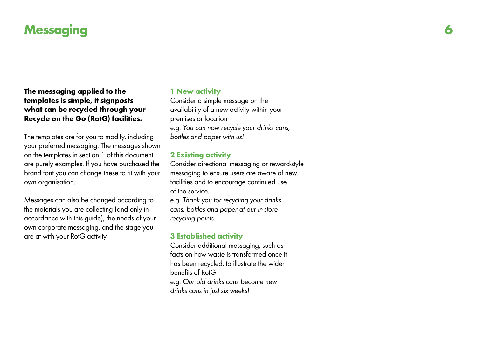## **Messaging**

**The messaging applied to the templates is simple, it signposts what can be recycled through your Recycle on the Go (RotG) facilities.**

The templates are for you to modify, including your preferred messaging. The messages shown on the templates in section 1 of this document are purely examples. If you have purchased the brand font you can change these to fit with your own organisation.

Messages can also be changed according to the materials you are collecting (and only in accordance with this guide), the needs of your own corporate messaging, and the stage you are at with your RotG activity.

#### **1 New activity**

Consider a simple message on the availability of a new activity within your premises or location e.g. You can now recycle your drinks cans, bottles and paper with us!

#### **2 Existing activity**

Consider directional messaging or reward-style messaging to ensure users are aware of new facilities and to encourage continued use of the service.

e.g. Thank you for recycling your drinks cans, bottles and paper at our in-store recycling points.

#### **3 Established activity**

Consider additional messaging, such as facts on how waste is transformed once it has been recycled, to illustrate the wider benefits of RotG e.g. Our old drinks cans become new drinks cans in just six weeks!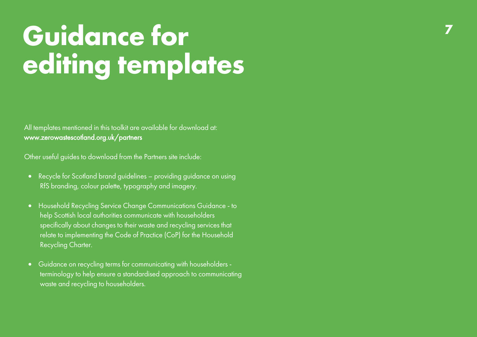# **Gu idance for editing te mplates**

All templates mentioned in this toolkit are available for download at: www.zero[wastescotland.o](www.zerowastescotland.org.uk/partners) rg.uk/partners

Other useful guides to download from the Partners site include:

- Recycle for Scotland b rand guidelines providing guidance on using RfS branding, colour palette, typography and imagery.
- Household Recycling Service Change Communications Guidance to help Scottish local authorities communicate wit h householders specifically about changes to their waste and recycling services that relate to implementing the Code of Practice (CoP) for the Household Recycling Charter.
- Guidance on recycling terms for communicating with householders terminology to help ensure a standardised approach to communicating waste and recycling to householders.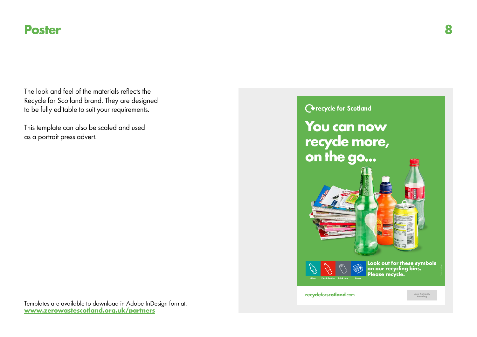### **Poster 8**

The look and feel of the materials reflects the Recycle for Scotland brand. They are designed to be fully editable to suit your requirements.

This template can also be scaled and used as a portrait press advert.



## **O**recycle for Scotland **You can now recycle more, on the go... Look out for these symbols on our recycling bins. Please recycle. Glass Plastic bottles Drink cans Paper recycle**for**scotland**.com **Local Authority Branding**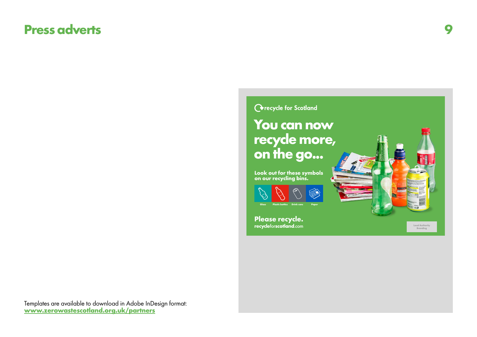## **Press adverts 9**

**O**recycle for Scotland **You can now recycle more, on the go... Look out for these symbols on our recycling bins. Glass Plastic bottles Drink cans Paper Please recycle. recycle**for**scotland**.com **Local Authority Branding**

Templates are available to download in Adobe InDesign format: **www.zerowastescotland.org.uk/partners**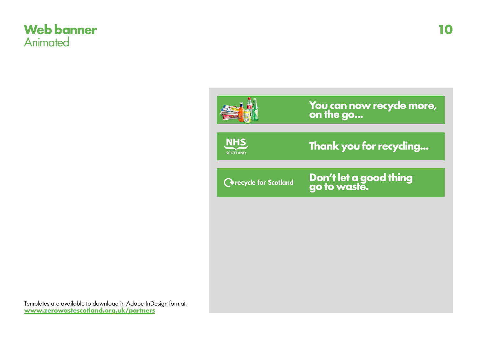### **Web banner Animated**



**You can now recycle more, on the go...**



**Thank you for recycling...**

**O**recycle for Scotland

**Don't let a good thing go to waste.**

Templates are available to download in Adobe InDesign format: **www.zerowastescotland.org.uk/partners**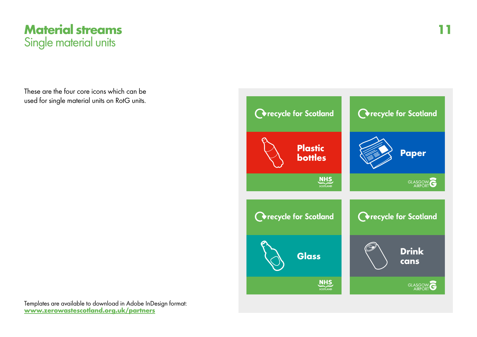

These are the four core icons which can be used for single material units on RotG units.

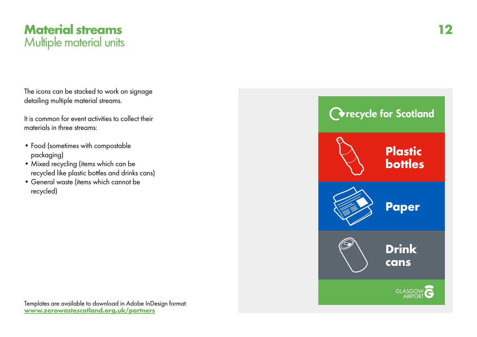

The icons can be stacked to work on signage detailing multiple material streams.

It is common for event activities to collect their materials in three streams:

- Food (sometimes with compostable packaging)
- Mixed recycling (items which can be recycled like plastic bottles and drinks cans)
- General waste (items which cannot be recycled)

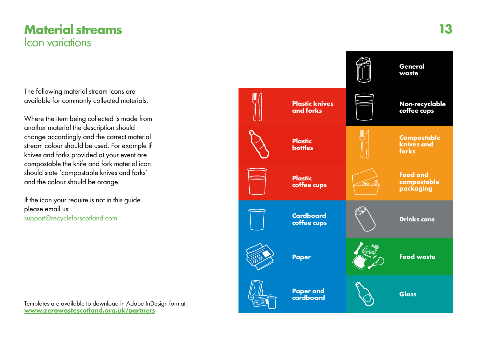## **Material streams <sup>13</sup>** Icon variations

The following material stream icons are available for commonly collected materials.

Where the item being collected is made from another material the description should change accordingly and the correct material stream colour should be used. For example if knives and forks provided at your event are compostable the knife and fork material icon should state 'compostable knives and forks' and the colour should be orange.

If the icon your require is not in this guide please email us: support@recycleforscotla nd.com

**Drinks cans Paper Cardboard coffee cups Paper and cardboard Plastic knives and forks Plastic coffee cups Non-recyclable coffee cups Glass Food waste Food and compostable packaging Plastic bottles Compostable knives and forks General waste**

Templates are available to download in Adobe InDesign format: **www.zerowastescotland.org.uk/partners**